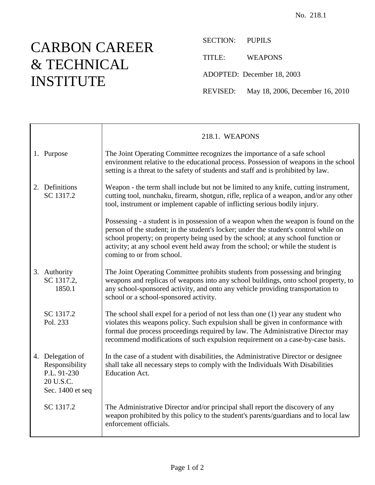## CARBON CAREER & TECHNICAL INSTITUTE

┯

 $\mathsf{r}$ 

SECTION: PUPILS

TITLE: WEAPONS

ADOPTED: December 18, 2003

REVISED: May 18, 2006, December 16, 2010

|                                                                                    | 218.1. WEAPONS                                                                                                                                                                                                                                                                                                                                                                   |
|------------------------------------------------------------------------------------|----------------------------------------------------------------------------------------------------------------------------------------------------------------------------------------------------------------------------------------------------------------------------------------------------------------------------------------------------------------------------------|
| 1. Purpose                                                                         | The Joint Operating Committee recognizes the importance of a safe school<br>environment relative to the educational process. Possession of weapons in the school<br>setting is a threat to the safety of students and staff and is prohibited by law.                                                                                                                            |
| 2. Definitions<br>SC 1317.2                                                        | Weapon - the term shall include but not be limited to any knife, cutting instrument,<br>cutting tool, nunchaku, firearm, shotgun, rifle, replica of a weapon, and/or any other<br>tool, instrument or implement capable of inflicting serious bodily injury.                                                                                                                     |
|                                                                                    | Possessing - a student is in possession of a weapon when the weapon is found on the<br>person of the student; in the student's locker; under the student's control while on<br>school property; on property being used by the school; at any school function or<br>activity; at any school event held away from the school; or while the student is<br>coming to or from school. |
| 3. Authority<br>SC 1317.2,<br>1850.1                                               | The Joint Operating Committee prohibits students from possessing and bringing<br>weapons and replicas of weapons into any school buildings, onto school property, to<br>any school-sponsored activity, and onto any vehicle providing transportation to<br>school or a school-sponsored activity.                                                                                |
| SC 1317.2<br>Pol. 233                                                              | The school shall expel for a period of not less than one $(1)$ year any student who<br>violates this weapons policy. Such expulsion shall be given in conformance with<br>formal due process proceedings required by law. The Administrative Director may<br>recommend modifications of such expulsion requirement on a case-by-case basis.                                      |
| 4. Delegation of<br>Responsibility<br>P.L. 91-230<br>20 U.S.C.<br>Sec. 1400 et seq | In the case of a student with disabilities, the Administrative Director or designee<br>shall take all necessary steps to comply with the Individuals With Disabilities<br><b>Education Act.</b>                                                                                                                                                                                  |
| SC 1317.2                                                                          | The Administrative Director and/or principal shall report the discovery of any<br>weapon prohibited by this policy to the student's parents/guardians and to local law<br>enforcement officials.                                                                                                                                                                                 |